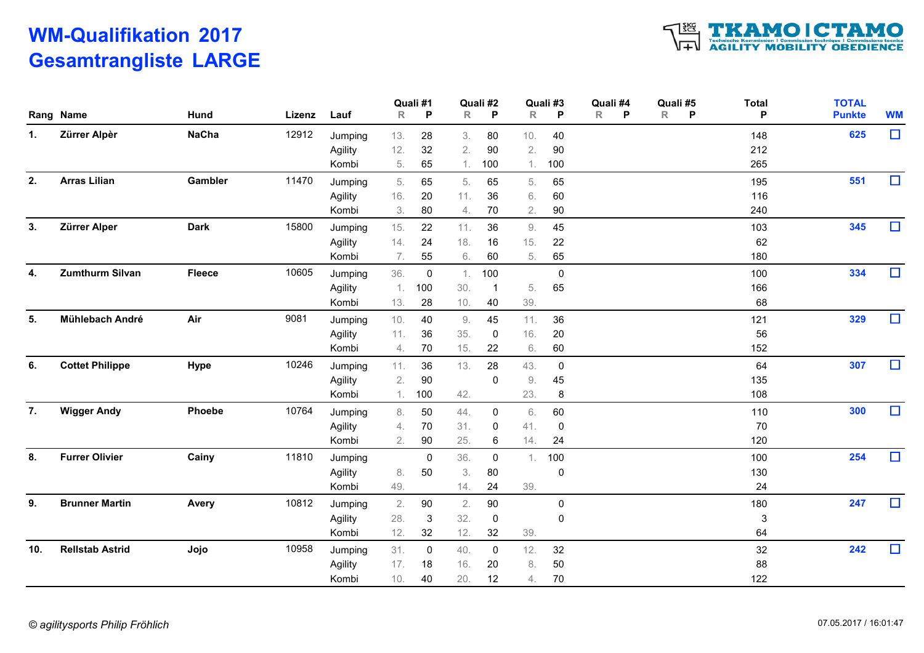# WM-Qualifikation 2017 Gesamtrangliste LARGE



| $\Box$<br>625<br>Zürrer Alpèr<br><b>NaCha</b><br>12912<br>13.<br>28<br>80<br>40<br>Jumping<br>3.<br>10.<br>148<br>32<br>2.<br>12.<br>90<br>2.<br>90<br>212<br>Agility<br>5.<br>65<br>100<br>100<br>265<br>Kombi<br>1.<br>1.<br>$\Box$<br>551<br><b>Arras Lilian</b><br>11470<br>Gambler<br>5.<br>5.<br>65<br>195<br>Jumping<br>65<br>65<br>5.<br>60<br>16.<br>20<br>11.<br>36<br>116<br>Agility<br>6.<br>3.<br>80<br>70<br>2.<br>90<br>240<br>4.<br>Kombi<br>$\Box$<br>Zürrer Alper<br>345<br><b>Dark</b><br>15800<br>15.<br>22<br>36<br>45<br>Jumping<br>11.<br>9.<br>103<br>14.<br>24<br>18.<br>22<br>62<br>Agility<br>16<br>15.<br>6.<br>65<br>7.<br>55<br>60<br>5.<br>180<br>Kombi<br>$\Box$<br>334<br><b>Zumthurm Silvan</b><br><b>Fleece</b><br>10605<br>4.<br>36.<br>Jumping<br>1.100<br>$\mathbf 0$<br>100<br>$\overline{0}$<br>65<br>Agility<br>1.100<br>30.<br>166<br>5.<br>13.<br>28<br>10.<br>40<br>39.<br>68<br>Kombi<br>$\Box$<br>9081<br>329<br>Mühlebach André<br>Air<br>10.<br>45<br>11.<br>36<br>121<br>Jumping<br>40<br>9.<br>35.<br>16.<br>20<br>56<br>11.<br>36<br>Agility<br>0<br>70<br>15.<br>60<br>22<br>6.<br>152<br>Kombi<br>4.<br>$\Box$<br>307<br><b>Cottet Philippe</b><br>Hype<br>10246<br>6.<br>64<br>Jumping<br>11. 36<br>13.<br>28<br>43.<br>$\mathbf 0$<br>$90\,$<br>2.<br>45<br>9.<br>135<br>Agility<br>0<br>1.100<br>42.<br>23.<br>108<br>Kombi<br>8<br>$\Box$<br><b>Wigger Andy</b><br>10764<br>300<br><b>Phoebe</b><br>44.<br>8.<br>50<br>6.<br>60<br>110<br>Jumping<br>0<br>70<br>70<br>31.<br>Agility<br>4.<br>41<br>0<br>0<br>90<br>25.<br>2.<br>14.<br>24<br>120<br>Kombi<br>6<br>$\Box$<br>254<br><b>Furrer Olivier</b><br>Cainy<br>11810<br>36.<br>Jumping<br>$\mathbf 0$<br>100<br>100<br>$\mathbf 0$<br>1.<br>50<br>3.<br>80<br>Agility<br>8.<br>$\mathbf 0$<br>130<br>49.<br>14.<br>24<br>24<br>39.<br>Kombi<br>$\Box$<br>247<br><b>Brunner Martin</b><br><b>Avery</b><br>10812<br>2.<br>90<br>90<br>2.<br>$\boldsymbol{0}$<br>180<br>Jumping<br>32.<br>28.<br>$\mathbf{3}$<br>$\mathbf 0$<br>3<br>Agility<br>0<br>12.<br>32<br>12.<br>64<br>32<br>39.<br>Kombi<br>$\Box$<br>242<br><b>Rellstab Astrid</b><br>Jojo<br>10958<br>32<br>31.<br>40.<br>12.<br>32<br>Jumping<br>$\overline{0}$<br>0<br>$50\,$<br>88<br>Agility<br>17.<br>18<br>16.<br>20<br>8.<br>20.<br>70<br>122<br>10.<br>12<br>Kombi<br>40<br>4. |     | Rang Name | Hund | Lizenz | Lauf | $\mathsf R$ | Quali #1<br>P | $\mathsf{R}$ | Quali #2<br>P | $\mathsf{R}$ | Quali #3<br>P | Quali #4<br>$\mathsf{R}$<br>P | Quali #5<br>R<br>P | <b>Total</b><br>P | <b>TOTAL</b><br><b>Punkte</b> | <b>WM</b> |
|----------------------------------------------------------------------------------------------------------------------------------------------------------------------------------------------------------------------------------------------------------------------------------------------------------------------------------------------------------------------------------------------------------------------------------------------------------------------------------------------------------------------------------------------------------------------------------------------------------------------------------------------------------------------------------------------------------------------------------------------------------------------------------------------------------------------------------------------------------------------------------------------------------------------------------------------------------------------------------------------------------------------------------------------------------------------------------------------------------------------------------------------------------------------------------------------------------------------------------------------------------------------------------------------------------------------------------------------------------------------------------------------------------------------------------------------------------------------------------------------------------------------------------------------------------------------------------------------------------------------------------------------------------------------------------------------------------------------------------------------------------------------------------------------------------------------------------------------------------------------------------------------------------------------------------------------------------------------------------------------------------------------------------------------------------------------------------------------------------------------------------------------------------------------------------------------------------------------------------------------------------------------------------------------------------------------------------------------------------------|-----|-----------|------|--------|------|-------------|---------------|--------------|---------------|--------------|---------------|-------------------------------|--------------------|-------------------|-------------------------------|-----------|
|                                                                                                                                                                                                                                                                                                                                                                                                                                                                                                                                                                                                                                                                                                                                                                                                                                                                                                                                                                                                                                                                                                                                                                                                                                                                                                                                                                                                                                                                                                                                                                                                                                                                                                                                                                                                                                                                                                                                                                                                                                                                                                                                                                                                                                                                                                                                                                | 1.  |           |      |        |      |             |               |              |               |              |               |                               |                    |                   |                               |           |
|                                                                                                                                                                                                                                                                                                                                                                                                                                                                                                                                                                                                                                                                                                                                                                                                                                                                                                                                                                                                                                                                                                                                                                                                                                                                                                                                                                                                                                                                                                                                                                                                                                                                                                                                                                                                                                                                                                                                                                                                                                                                                                                                                                                                                                                                                                                                                                |     |           |      |        |      |             |               |              |               |              |               |                               |                    |                   |                               |           |
|                                                                                                                                                                                                                                                                                                                                                                                                                                                                                                                                                                                                                                                                                                                                                                                                                                                                                                                                                                                                                                                                                                                                                                                                                                                                                                                                                                                                                                                                                                                                                                                                                                                                                                                                                                                                                                                                                                                                                                                                                                                                                                                                                                                                                                                                                                                                                                |     |           |      |        |      |             |               |              |               |              |               |                               |                    |                   |                               |           |
|                                                                                                                                                                                                                                                                                                                                                                                                                                                                                                                                                                                                                                                                                                                                                                                                                                                                                                                                                                                                                                                                                                                                                                                                                                                                                                                                                                                                                                                                                                                                                                                                                                                                                                                                                                                                                                                                                                                                                                                                                                                                                                                                                                                                                                                                                                                                                                | 2.  |           |      |        |      |             |               |              |               |              |               |                               |                    |                   |                               |           |
|                                                                                                                                                                                                                                                                                                                                                                                                                                                                                                                                                                                                                                                                                                                                                                                                                                                                                                                                                                                                                                                                                                                                                                                                                                                                                                                                                                                                                                                                                                                                                                                                                                                                                                                                                                                                                                                                                                                                                                                                                                                                                                                                                                                                                                                                                                                                                                |     |           |      |        |      |             |               |              |               |              |               |                               |                    |                   |                               |           |
|                                                                                                                                                                                                                                                                                                                                                                                                                                                                                                                                                                                                                                                                                                                                                                                                                                                                                                                                                                                                                                                                                                                                                                                                                                                                                                                                                                                                                                                                                                                                                                                                                                                                                                                                                                                                                                                                                                                                                                                                                                                                                                                                                                                                                                                                                                                                                                |     |           |      |        |      |             |               |              |               |              |               |                               |                    |                   |                               |           |
|                                                                                                                                                                                                                                                                                                                                                                                                                                                                                                                                                                                                                                                                                                                                                                                                                                                                                                                                                                                                                                                                                                                                                                                                                                                                                                                                                                                                                                                                                                                                                                                                                                                                                                                                                                                                                                                                                                                                                                                                                                                                                                                                                                                                                                                                                                                                                                | 3.  |           |      |        |      |             |               |              |               |              |               |                               |                    |                   |                               |           |
|                                                                                                                                                                                                                                                                                                                                                                                                                                                                                                                                                                                                                                                                                                                                                                                                                                                                                                                                                                                                                                                                                                                                                                                                                                                                                                                                                                                                                                                                                                                                                                                                                                                                                                                                                                                                                                                                                                                                                                                                                                                                                                                                                                                                                                                                                                                                                                |     |           |      |        |      |             |               |              |               |              |               |                               |                    |                   |                               |           |
|                                                                                                                                                                                                                                                                                                                                                                                                                                                                                                                                                                                                                                                                                                                                                                                                                                                                                                                                                                                                                                                                                                                                                                                                                                                                                                                                                                                                                                                                                                                                                                                                                                                                                                                                                                                                                                                                                                                                                                                                                                                                                                                                                                                                                                                                                                                                                                |     |           |      |        |      |             |               |              |               |              |               |                               |                    |                   |                               |           |
|                                                                                                                                                                                                                                                                                                                                                                                                                                                                                                                                                                                                                                                                                                                                                                                                                                                                                                                                                                                                                                                                                                                                                                                                                                                                                                                                                                                                                                                                                                                                                                                                                                                                                                                                                                                                                                                                                                                                                                                                                                                                                                                                                                                                                                                                                                                                                                |     |           |      |        |      |             |               |              |               |              |               |                               |                    |                   |                               |           |
|                                                                                                                                                                                                                                                                                                                                                                                                                                                                                                                                                                                                                                                                                                                                                                                                                                                                                                                                                                                                                                                                                                                                                                                                                                                                                                                                                                                                                                                                                                                                                                                                                                                                                                                                                                                                                                                                                                                                                                                                                                                                                                                                                                                                                                                                                                                                                                |     |           |      |        |      |             |               |              |               |              |               |                               |                    |                   |                               |           |
|                                                                                                                                                                                                                                                                                                                                                                                                                                                                                                                                                                                                                                                                                                                                                                                                                                                                                                                                                                                                                                                                                                                                                                                                                                                                                                                                                                                                                                                                                                                                                                                                                                                                                                                                                                                                                                                                                                                                                                                                                                                                                                                                                                                                                                                                                                                                                                |     |           |      |        |      |             |               |              |               |              |               |                               |                    |                   |                               |           |
|                                                                                                                                                                                                                                                                                                                                                                                                                                                                                                                                                                                                                                                                                                                                                                                                                                                                                                                                                                                                                                                                                                                                                                                                                                                                                                                                                                                                                                                                                                                                                                                                                                                                                                                                                                                                                                                                                                                                                                                                                                                                                                                                                                                                                                                                                                                                                                | 5.  |           |      |        |      |             |               |              |               |              |               |                               |                    |                   |                               |           |
|                                                                                                                                                                                                                                                                                                                                                                                                                                                                                                                                                                                                                                                                                                                                                                                                                                                                                                                                                                                                                                                                                                                                                                                                                                                                                                                                                                                                                                                                                                                                                                                                                                                                                                                                                                                                                                                                                                                                                                                                                                                                                                                                                                                                                                                                                                                                                                |     |           |      |        |      |             |               |              |               |              |               |                               |                    |                   |                               |           |
|                                                                                                                                                                                                                                                                                                                                                                                                                                                                                                                                                                                                                                                                                                                                                                                                                                                                                                                                                                                                                                                                                                                                                                                                                                                                                                                                                                                                                                                                                                                                                                                                                                                                                                                                                                                                                                                                                                                                                                                                                                                                                                                                                                                                                                                                                                                                                                |     |           |      |        |      |             |               |              |               |              |               |                               |                    |                   |                               |           |
|                                                                                                                                                                                                                                                                                                                                                                                                                                                                                                                                                                                                                                                                                                                                                                                                                                                                                                                                                                                                                                                                                                                                                                                                                                                                                                                                                                                                                                                                                                                                                                                                                                                                                                                                                                                                                                                                                                                                                                                                                                                                                                                                                                                                                                                                                                                                                                |     |           |      |        |      |             |               |              |               |              |               |                               |                    |                   |                               |           |
|                                                                                                                                                                                                                                                                                                                                                                                                                                                                                                                                                                                                                                                                                                                                                                                                                                                                                                                                                                                                                                                                                                                                                                                                                                                                                                                                                                                                                                                                                                                                                                                                                                                                                                                                                                                                                                                                                                                                                                                                                                                                                                                                                                                                                                                                                                                                                                |     |           |      |        |      |             |               |              |               |              |               |                               |                    |                   |                               |           |
|                                                                                                                                                                                                                                                                                                                                                                                                                                                                                                                                                                                                                                                                                                                                                                                                                                                                                                                                                                                                                                                                                                                                                                                                                                                                                                                                                                                                                                                                                                                                                                                                                                                                                                                                                                                                                                                                                                                                                                                                                                                                                                                                                                                                                                                                                                                                                                |     |           |      |        |      |             |               |              |               |              |               |                               |                    |                   |                               |           |
|                                                                                                                                                                                                                                                                                                                                                                                                                                                                                                                                                                                                                                                                                                                                                                                                                                                                                                                                                                                                                                                                                                                                                                                                                                                                                                                                                                                                                                                                                                                                                                                                                                                                                                                                                                                                                                                                                                                                                                                                                                                                                                                                                                                                                                                                                                                                                                | 7.  |           |      |        |      |             |               |              |               |              |               |                               |                    |                   |                               |           |
|                                                                                                                                                                                                                                                                                                                                                                                                                                                                                                                                                                                                                                                                                                                                                                                                                                                                                                                                                                                                                                                                                                                                                                                                                                                                                                                                                                                                                                                                                                                                                                                                                                                                                                                                                                                                                                                                                                                                                                                                                                                                                                                                                                                                                                                                                                                                                                |     |           |      |        |      |             |               |              |               |              |               |                               |                    |                   |                               |           |
|                                                                                                                                                                                                                                                                                                                                                                                                                                                                                                                                                                                                                                                                                                                                                                                                                                                                                                                                                                                                                                                                                                                                                                                                                                                                                                                                                                                                                                                                                                                                                                                                                                                                                                                                                                                                                                                                                                                                                                                                                                                                                                                                                                                                                                                                                                                                                                |     |           |      |        |      |             |               |              |               |              |               |                               |                    |                   |                               |           |
|                                                                                                                                                                                                                                                                                                                                                                                                                                                                                                                                                                                                                                                                                                                                                                                                                                                                                                                                                                                                                                                                                                                                                                                                                                                                                                                                                                                                                                                                                                                                                                                                                                                                                                                                                                                                                                                                                                                                                                                                                                                                                                                                                                                                                                                                                                                                                                | 8.  |           |      |        |      |             |               |              |               |              |               |                               |                    |                   |                               |           |
|                                                                                                                                                                                                                                                                                                                                                                                                                                                                                                                                                                                                                                                                                                                                                                                                                                                                                                                                                                                                                                                                                                                                                                                                                                                                                                                                                                                                                                                                                                                                                                                                                                                                                                                                                                                                                                                                                                                                                                                                                                                                                                                                                                                                                                                                                                                                                                |     |           |      |        |      |             |               |              |               |              |               |                               |                    |                   |                               |           |
|                                                                                                                                                                                                                                                                                                                                                                                                                                                                                                                                                                                                                                                                                                                                                                                                                                                                                                                                                                                                                                                                                                                                                                                                                                                                                                                                                                                                                                                                                                                                                                                                                                                                                                                                                                                                                                                                                                                                                                                                                                                                                                                                                                                                                                                                                                                                                                |     |           |      |        |      |             |               |              |               |              |               |                               |                    |                   |                               |           |
|                                                                                                                                                                                                                                                                                                                                                                                                                                                                                                                                                                                                                                                                                                                                                                                                                                                                                                                                                                                                                                                                                                                                                                                                                                                                                                                                                                                                                                                                                                                                                                                                                                                                                                                                                                                                                                                                                                                                                                                                                                                                                                                                                                                                                                                                                                                                                                | 9.  |           |      |        |      |             |               |              |               |              |               |                               |                    |                   |                               |           |
|                                                                                                                                                                                                                                                                                                                                                                                                                                                                                                                                                                                                                                                                                                                                                                                                                                                                                                                                                                                                                                                                                                                                                                                                                                                                                                                                                                                                                                                                                                                                                                                                                                                                                                                                                                                                                                                                                                                                                                                                                                                                                                                                                                                                                                                                                                                                                                |     |           |      |        |      |             |               |              |               |              |               |                               |                    |                   |                               |           |
|                                                                                                                                                                                                                                                                                                                                                                                                                                                                                                                                                                                                                                                                                                                                                                                                                                                                                                                                                                                                                                                                                                                                                                                                                                                                                                                                                                                                                                                                                                                                                                                                                                                                                                                                                                                                                                                                                                                                                                                                                                                                                                                                                                                                                                                                                                                                                                |     |           |      |        |      |             |               |              |               |              |               |                               |                    |                   |                               |           |
|                                                                                                                                                                                                                                                                                                                                                                                                                                                                                                                                                                                                                                                                                                                                                                                                                                                                                                                                                                                                                                                                                                                                                                                                                                                                                                                                                                                                                                                                                                                                                                                                                                                                                                                                                                                                                                                                                                                                                                                                                                                                                                                                                                                                                                                                                                                                                                | 10. |           |      |        |      |             |               |              |               |              |               |                               |                    |                   |                               |           |
|                                                                                                                                                                                                                                                                                                                                                                                                                                                                                                                                                                                                                                                                                                                                                                                                                                                                                                                                                                                                                                                                                                                                                                                                                                                                                                                                                                                                                                                                                                                                                                                                                                                                                                                                                                                                                                                                                                                                                                                                                                                                                                                                                                                                                                                                                                                                                                |     |           |      |        |      |             |               |              |               |              |               |                               |                    |                   |                               |           |
|                                                                                                                                                                                                                                                                                                                                                                                                                                                                                                                                                                                                                                                                                                                                                                                                                                                                                                                                                                                                                                                                                                                                                                                                                                                                                                                                                                                                                                                                                                                                                                                                                                                                                                                                                                                                                                                                                                                                                                                                                                                                                                                                                                                                                                                                                                                                                                |     |           |      |        |      |             |               |              |               |              |               |                               |                    |                   |                               |           |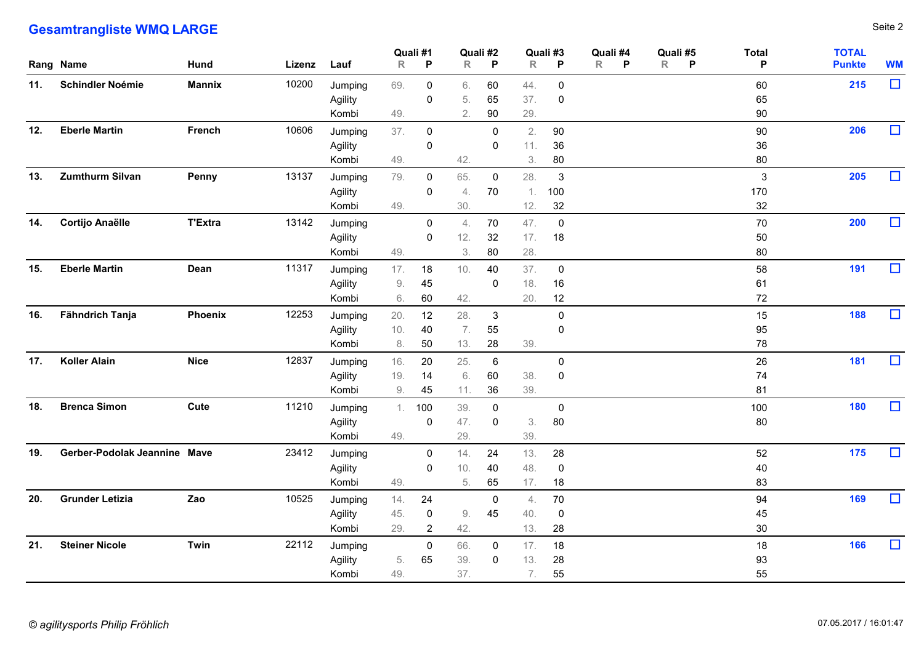|     | <b>Gesamtrangliste WMQ LARGE</b> |                |             |                             |                    |                                  |                   |                               |                     |                            |                               |                     |                           |                               | Seite 2   |
|-----|----------------------------------|----------------|-------------|-----------------------------|--------------------|----------------------------------|-------------------|-------------------------------|---------------------|----------------------------|-------------------------------|---------------------|---------------------------|-------------------------------|-----------|
|     | Rang Name                        | <b>Hund</b>    | Lizenz Lauf |                             | R                  | Quali #1<br>P                    | $\mathsf{R}$      | Quali #2<br>P                 | Quali #3<br>R       | P                          | Quali #4<br>$\mathsf{R}$<br>P | Quali #5<br>$R$ $P$ | <b>Total</b><br>P         | <b>TOTAL</b><br><b>Punkte</b> | <b>WM</b> |
|     | 11. Schindler Noémie             | Mannix         | 10200       | Jumping<br>Agility<br>Kombi | 69.<br>49.         | $\mathbf 0$<br>$\mathbf 0$       | 6.<br>5.<br>2.    | 60<br>65<br>$90\,$            | 44.<br>37.<br>29.   | $\mathbf 0$<br>$\mathbf 0$ |                               |                     | 60<br>65<br>$90\,$        | 215                           | $\Box$    |
| 12. | <b>Eberle Martin</b>             | French         | 10606       | Jumping<br>Agility<br>Kombi | 37.<br>49.         | $\overline{0}$<br>$\mathbf 0$    | 42.               | $\overline{0}$<br>$\mathbf 0$ | 2.<br>11.<br>3.     | 90<br>$36\,$<br>80         |                               |                     | 90<br>36<br>80            | 206                           | $\Box$    |
| 13. | <b>Zumthurm Silvan</b>           | Penny          | 13137       | Jumping<br>Agility<br>Kombi | 79.<br>49.         | $\mathbf 0$<br>$\mathbf 0$       | 65.<br>4.<br>30.  | $\mathbf 0$<br>70             | 28.<br>1.<br>12.    | $\mathbf{3}$<br>100<br>32  |                               |                     | $\mathbf{3}$<br>170<br>32 | 205                           | $\Box$    |
| 14. | <b>Cortijo Anaëlle</b>           | <b>T'Extra</b> | 13142       | Jumping<br>Agility<br>Kombi | 49.                | $\mathbf 0$<br>$\mathbf 0$       | 4.<br>12.<br>3.   | 70<br>32<br>80                | 47.<br>17.<br>28.   | $\overline{0}$<br>18       |                               |                     | 70<br>50<br>80            | 200                           | $\Box$    |
| 15. | <b>Eberle Martin</b>             | Dean           | 11317       | Jumping<br>Agility<br>Kombi | 17.<br>9.<br>6.    | 18<br>45<br>60                   | 10.<br>42.        | 40<br>0                       | 37.<br>18.<br>20.   | $\mathbf 0$<br>16<br>12    |                               |                     | 58<br>61<br>72            | 191                           | $\Box$    |
|     | 16. Fähndrich Tanja              | <b>Phoenix</b> | 12253       | Jumping<br>Agility<br>Kombi | 20.<br>10.<br>8.   | 12<br>40<br>50                   | 28.<br>7.<br>13.  | $\mathbf{3}$<br>55<br>28      | 39.                 | $\pmb{0}$<br>$\mathbf 0$   |                               |                     | 15<br>95<br>78            | 188                           | $\Box$    |
|     | 17. Koller Alain                 | <b>Nice</b>    | 12837       | Jumping<br>Agility<br>Kombi | 16.<br>$19.$<br>9. | 20<br>14<br>45                   | 25.<br>6.<br>11.  | 6<br>60<br>36                 | 38.<br>39.          | $\mathbf 0$<br>$\mathbf 0$ |                               |                     | 26<br>74<br>81            | 181                           | $\Box$    |
| 18. | <b>Brenca Simon</b>              | Cute           | 11210       | Jumping<br>Agility<br>Kombi | 49.                | 1.100<br>$\overline{0}$          | 39.<br>47.<br>29. | $\mathbf 0$<br>$\mathbf 0$    | 3.<br>39.           | $\mathbf 0$<br>80          |                               |                     | 100<br>80                 | 180                           | $\Box$    |
|     | 19. Gerber-Podolak Jeannine Mave |                | 23412       | Jumping<br>Agility<br>Kombi | 49.                | $\overline{0}$<br>$\overline{0}$ | 14.<br>10.<br>5.  | 24<br>40<br>65                | 13.<br>48.<br>17.   | 28<br>$\mathbf 0$<br>18    |                               |                     | 52<br>40<br>83            | 175                           | $\Box$    |
|     | 20. Grunder Letizia              | Zao            | 10525       | Jumping<br>Agility<br>Kombi | 14.<br>45.<br>29.  | 24<br>$\bf{0}$<br>$\overline{2}$ | 9.<br>42.         | $\overline{0}$<br>45          | 4.<br>40.<br>13.    | 70<br>$\overline{0}$<br>28 |                               |                     | 94<br>45<br>$30\,$        | 169                           | $\Box$    |
|     | 21. Steiner Nicole               | Twin           | 22112       | Jumping<br>Agility<br>Kombi | 5.<br>49.          | $\overline{0}$<br>65             | 66.<br>39.<br>37. | $\mathbf 0$<br>$\overline{0}$ | 17. 18<br>13.<br>7. | 28<br>55                   |                               |                     | 18<br>93<br>55            | 166                           | $\Box$    |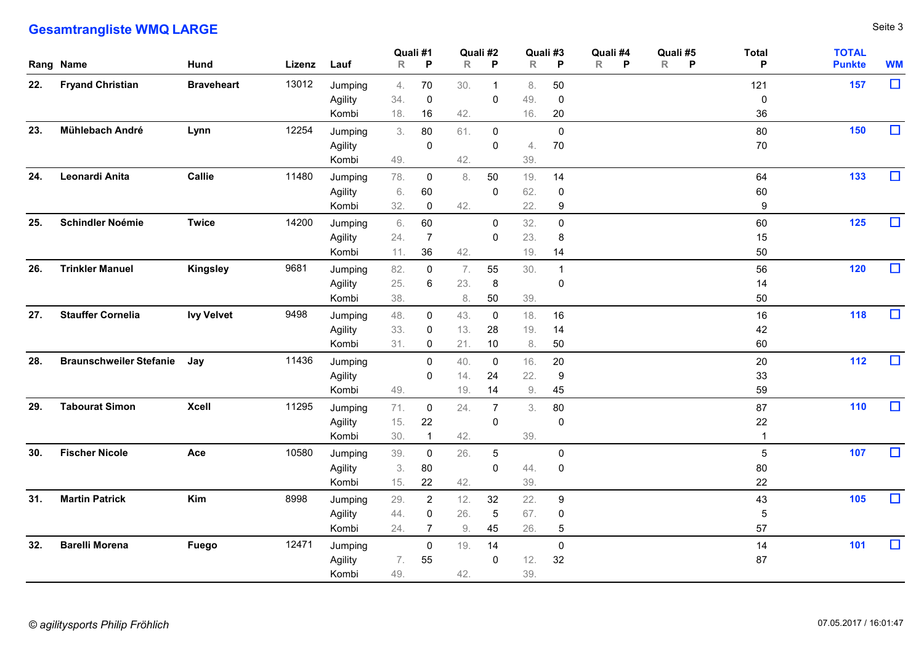|     | <b>Gesamtrangliste WMQ LARGE</b> |                   |             |                             |                          |                                       |                     |                         |                   |                                       |                                                      |                             |                               | Seite 3   |
|-----|----------------------------------|-------------------|-------------|-----------------------------|--------------------------|---------------------------------------|---------------------|-------------------------|-------------------|---------------------------------------|------------------------------------------------------|-----------------------------|-------------------------------|-----------|
|     | Rang Name                        | <b>Hund</b>       | Lizenz Lauf |                             | Quali #1<br>$\mathsf{R}$ | $\mathsf{P}$                          | $\mathsf R$         | Quali #2<br>P           | R                 | Quali #3<br>P                         | Quali #4<br>Quali #5<br>$R$ $P$<br>$\mathsf{R}$<br>P | <b>Total</b><br>P           | <b>TOTAL</b><br><b>Punkte</b> | <b>WM</b> |
| 22. | <b>Fryand Christian</b>          | <b>Braveheart</b> | 13012       | Jumping<br>Agility<br>Kombi | 4.<br>34.<br>18.         | 70<br>$\overline{0}$<br>16            | 30.<br>42.          | -1<br>0                 | 8.<br>49.<br>16.  | 50<br>$\overline{0}$<br>20            |                                                      | 121<br>$\pmb{0}$<br>36      | 157                           | $\Box$    |
| 23. | Mühlebach André                  | Lynn              | 12254       | Jumping<br>Agility<br>Kombi | 3.<br>49.                | 80<br>$\mathbf 0$                     | 61.<br>42.          | $\mathbf 0$<br>0        | 4.<br>39.         | $\pmb{0}$<br>$70\,$                   |                                                      | 80<br>70                    | 150                           | $\Box$    |
| 24. | Leonardi Anita                   | Callie            | 11480       | Jumping<br>Agility<br>Kombi | 78.<br>6.<br>32.         | $\mathbf 0$<br>60<br>0                | 8.<br>42.           | 50<br>0                 | 19.<br>62.<br>22. | 14<br>$\boldsymbol{0}$<br>9           |                                                      | 64<br>60<br>9               | 133                           | $\Box$    |
| 25. | Schindler Noémie                 | <b>Twice</b>      | 14200       | Jumping<br>Agility<br>Kombi | 6.<br>24.<br>11.         | 60<br>$\overline{7}$<br>36            | 42.                 | $\mathbf{0}$<br>0       | 32.<br>23.<br>19. | $\mathbf 0$<br>8<br>14                |                                                      | 60<br>15<br>50              | 125                           | $\Box$    |
|     | 26. Trinkler Manuel              | Kingsley          | 9681        | Jumping<br>Agility<br>Kombi | 82.<br>25.<br>38.        | 0<br>6                                | 7.<br>23.<br>8.     | 55<br>8<br>50           | 30.<br>39.        | $\boldsymbol{0}$                      |                                                      | 56<br>14<br>50              | 120                           | $\Box$    |
|     | 27. Stauffer Cornelia            | <b>Ivy Velvet</b> | 9498        | Jumping<br>Agility<br>Kombi | 48.<br>33.<br>31.        | $\overline{0}$<br>$\overline{0}$<br>0 | 43.<br>13.<br>21.   | $\mathbf 0$<br>28<br>10 | 18.<br>19.<br>8.  | 16<br>14<br>50                        |                                                      | 16<br>42<br>60              | 118                           | $\Box$    |
|     | 28. Braunschweiler Stefanie Jay  |                   | 11436       | Jumping<br>Agility<br>Kombi | 49.                      | $\mathbf 0$<br>$\mathbf 0$            | 40.<br>14.<br>$19.$ | 0<br>24<br>14           | 16.<br>22.<br>9.  | 20<br>9<br>45                         |                                                      | 20<br>33<br>59              | 112                           | $\Box$    |
|     | 29. Tabourat Simon               | <b>Xcell</b>      | 11295       | Jumping<br>Agility<br>Kombi | 71.<br>15.<br>30.        | $\mathbf 0$<br>22                     | 24.<br>42.          | 7<br>0                  | 3.<br>39.         | 80<br>$\overline{0}$                  |                                                      | 87<br>22                    | 110                           | $\Box$    |
|     | 30. Fischer Nicole               | Ace               | 10580       | Jumping<br>Agility<br>Kombi | 39.<br>3.<br>15.         | $\overline{0}$<br>$80\,$<br>22        | 26.<br>42.          | $5\phantom{.0}$<br>0    | 44.<br>39.        | $\overline{0}$<br>$\mathbf 0$         |                                                      | $5\phantom{.0}$<br>80<br>22 | 107                           | $\Box$    |
|     | 31. Martin Patrick               | Kim               | 8998        | Jumping<br>Agility<br>Kombi | 29.<br>44.<br>24.        | $\overline{2}$<br>$\mathbf 0$<br>-7   | 12.<br>26.<br>9.    | 32<br>$\sqrt{5}$<br>45  | 22.<br>67.<br>26. | 9<br>$\overline{0}$<br>$\overline{5}$ |                                                      | 43<br>5<br>57               | 105                           | $\Box$    |
| 32. | <b>Barelli Morena</b>            | Fuego             | 12471       | Jumping<br>Agility<br>Kombi | 7.<br>49.                | $\overline{0}$<br>55                  | 19.<br>42.          | 14<br>0                 | 12.<br>39.        | $\boldsymbol{0}$<br>32                |                                                      | 14<br>87                    | 101                           | $\Box$    |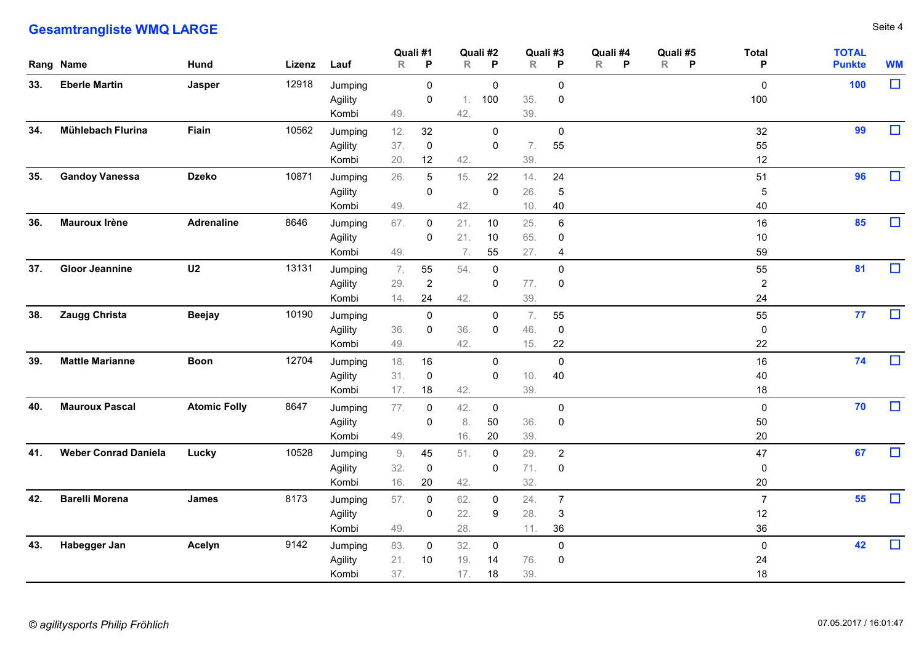|           | <b>Gesamtrangliste WMQ LARGE</b> |                     |        |                             |                    |                               |                   |                               |                   |                                          |                                      |                    |                            |                               | Seite 4   |
|-----------|----------------------------------|---------------------|--------|-----------------------------|--------------------|-------------------------------|-------------------|-------------------------------|-------------------|------------------------------------------|--------------------------------------|--------------------|----------------------------|-------------------------------|-----------|
| Rang Name |                                  | <b>Hund</b>         | Lizenz | Lauf                        | Quali #1<br>R      | $\mathsf{P}$                  | R                 | Quali #2<br>P                 | R                 | Quali #3<br>P                            | Quali #4<br>$\mathsf{R}$<br><b>P</b> | Quali #5<br>R<br>P | <b>Total</b><br>P          | <b>TOTAL</b><br><b>Punkte</b> | <b>WM</b> |
| 33.       | <b>Eberle Martin</b>             | Jasper              | 12918  | Jumping<br>Agility<br>Kombi | 49.                | $\mathbf 0$<br>0              | 1.<br>42.         | 0<br>100                      | 35.<br>39.        | $\mathbf 0$<br>0                         |                                      |                    | $\mathbf 0$<br>100         | 100                           | $\Box$    |
| 34.       | Mühlebach Flurina                | Fiain               | 10562  | Jumping<br>Agility<br>Kombi | 12.<br>37.<br>20.  | 32<br>$\mathbf 0$<br>12       | 42.               | $\mathbf 0$<br>0              | 7.<br>39.         | 0<br>55                                  |                                      |                    | 32<br>55<br>12             | 99                            | $\Box$    |
| 35.       | <b>Gandoy Vanessa</b>            | <b>Dzeko</b>        | 10871  | Jumping<br>Agility<br>Kombi | 26.<br>49.         | 5<br>$\mathbf 0$              | 15.<br>42.        | 22<br>0                       | 14.<br>26.<br>10. | 24<br>5<br>40                            |                                      |                    | 51<br>5<br>40              | 96                            | $\Box$    |
| 36.       | <b>Mauroux Irène</b>             | <b>Adrenaline</b>   | 8646   | Jumping<br>Agility<br>Kombi | 67.<br>49.         | 0<br>0                        | 21.<br>21.<br>7.  | 10<br>10<br>55                | 25.<br>65.<br>27. | 6<br>0<br>$\overline{4}$                 |                                      |                    | 16<br>10<br>59             | 85                            | $\Box$    |
|           | 37. Gloor Jeannine               | U <sub>2</sub>      | 13131  | Jumping<br>Agility<br>Kombi | 7.<br>29.<br>14.   | 55<br>$\overline{2}$<br>24    | 54.<br>42.        | 0<br>0                        | 77.<br>39.        | 0<br>$\overline{0}$                      |                                      |                    | 55<br>$\overline{2}$<br>24 | 81                            | $\Box$    |
|           | 38. Zaugg Christa                | <b>Beejay</b>       | 10190  | Jumping<br>Agility<br>Kombi | 36.<br>49.         | $\mathbf 0$<br>$\mathbf 0$    | 36.<br>42.        | $\mathbf 0$<br>0              | 7.<br>46.<br>15.  | 55<br>$\overline{0}$<br>22               |                                      |                    | 55<br>0<br>22              | 77                            | $\Box$    |
| 39.       | <b>Mattle Marianne</b>           | <b>Boon</b>         | 12704  | Jumping<br>Agility<br>Kombi | 18.<br>31.<br>17.  | 16<br>$\overline{0}$<br>18    | 42.               | $\mathbf 0$<br>$\mathbf 0$    | $10.$<br>39.      | $\mathbf 0$<br>40                        |                                      |                    | 16<br>40<br>18             | 74                            | $\Box$    |
| 40.       | <b>Mauroux Pascal</b>            | <b>Atomic Folly</b> | 8647   | Jumping<br>Agility<br>Kombi | 77.<br>49.         | $\overline{0}$<br>$\mathbf 0$ | 42.<br>8.<br>16.  | $\overline{0}$<br>50<br>20    | 36.<br>39.        | $\mathbf 0$<br>$\mathbf 0$               |                                      |                    | $\mathbf 0$<br>50<br>20    | 70                            | $\Box$    |
|           | 41. Weber Conrad Daniela         | Lucky               | 10528  | Jumping<br>Agility<br>Kombi | 9.<br>32.<br>$16.$ | 45<br>$\mathbf 0$<br>$20\,$   | 51.<br>42.        | $\overline{0}$<br>$\mathbf 0$ | 29.<br>71.<br>32. | $\overline{2}$<br>$\mathbf 0$            |                                      |                    | 47<br>0<br>$20\,$          | 67                            | $\Box$    |
| 42.       | <b>Barelli Morena</b>            | James               | 8173   | Jumping<br>Agility<br>Kombi | 57.<br>49.         | $\mathbf 0$<br>0              | 62.<br>22.<br>28. | $\mathbf 0$<br>9              | 24.<br>28.<br>11. | $\overline{7}$<br>$\mathbf{3}$<br>$36\,$ |                                      |                    | $\overline{7}$<br>12<br>36 | 55                            | $\Box$    |
| 43.       | Habegger Jan                     | Acelyn              | 9142   | Jumping<br>Agility<br>Kombi | 83.<br>21.<br>37.  | $\mathbf 0$<br>10             | 32.<br>19.<br>17. | $\mathbf 0$<br>14<br>18       | 76.<br>39.        | $\mathbf 0$<br>$\overline{0}$            |                                      |                    | $\mathbf 0$<br>24<br>18    | 42                            | $\Box$    |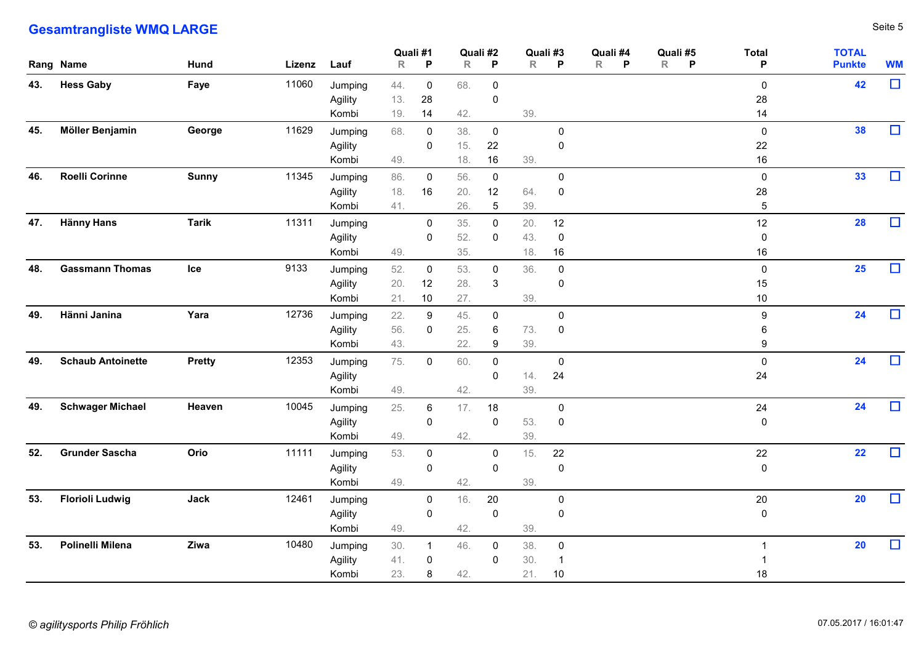|     | <b>Gesamtrangliste WMQ LARGE</b> |               |             |                             |                          |                               |                   |                                         |                      |                                      |                               |                     |                                        |                               | Seite 5   |
|-----|----------------------------------|---------------|-------------|-----------------------------|--------------------------|-------------------------------|-------------------|-----------------------------------------|----------------------|--------------------------------------|-------------------------------|---------------------|----------------------------------------|-------------------------------|-----------|
|     | Rang Name                        | Hund          | Lizenz Lauf |                             | Quali #1<br>$\mathsf{R}$ | P                             | $\mathsf R$       | Quali #2<br>P                           | Quali #3<br>R P      |                                      | Quali #4<br>$\mathsf{R}$<br>P | Quali #5<br>$R$ $P$ | <b>Total</b><br>P                      | <b>TOTAL</b><br><b>Punkte</b> | <b>WM</b> |
| 43. | <b>Hess Gaby</b>                 | Faye          | 11060       | Jumping<br>Agility<br>Kombi | 44.<br>13.<br>19.        | $\mathbf 0$<br>28<br>14       | 68.<br>42.        | $\overline{0}$<br>$\pmb{0}$             | 39.                  |                                      |                               |                     | $\boldsymbol{0}$<br>28<br>14           | 42                            | $\Box$    |
| 45. | Möller Benjamin                  | George        | 11629       | Jumping<br>Agility<br>Kombi | 68.<br>49.               | $\mathbf 0$<br>0              | 38.<br>15.<br>18. | $\mathbf 0$<br>22<br>16                 | 39.                  | $\mathbf 0$<br>$\overline{0}$        |                               |                     | $\mathsf 0$<br>22<br>$16 \,$           | 38                            | $\Box$    |
| 46. | <b>Roelli Corinne</b>            | <b>Sunny</b>  | 11345       | Jumping<br>Agility<br>Kombi | 86.<br>18.<br>41.        | $\mathbf 0$<br>16             | 56.<br>20.<br>26. | $\overline{0}$<br>12<br>$5\phantom{.0}$ | 64.<br>39.           | $\overline{0}$<br>$\overline{0}$     |                               |                     | $\overline{0}$<br>28<br>$\overline{5}$ | 33                            | $\Box$    |
| 47. | Hänny Hans                       | <b>Tarik</b>  | 11311       | Jumping<br>Agility<br>Kombi | 49.                      | 0<br>0                        | 35.<br>52.<br>35. | $\mathbf 0$<br>0                        | 20.<br>43.<br>18.    | 12<br>$\overline{0}$<br>16           |                               |                     | 12<br>$\mathbf 0$<br>16                | 28                            | $\Box$    |
| 48. | <b>Gassmann Thomas</b>           | Ice           | 9133        | Jumping<br>Agility<br>Kombi | 52.<br>20.<br>21.        | 0<br>12<br>$10$               | 53.<br>28.<br>27. | 0<br>$\mathbf{3}$                       | 36.<br>39.           | $\boldsymbol{0}$<br>$\boldsymbol{0}$ |                               |                     | 0<br>15<br>10 <sub>1</sub>             | $25\phantom{.0}$              | $\Box$    |
| 49. | Hänni Janina                     | Yara          | 12736       | Jumping<br>Agility<br>Kombi | 22.<br>56.<br>43.        | $\boldsymbol{9}$<br>0         | 45.<br>25.<br>22. | $\mathbf 0$<br>6<br>9                   | 73.<br>39.           | $\mathbf 0$<br>$\boldsymbol{0}$      |                               |                     | 9<br>6<br>9                            | 24                            | $\Box$    |
|     | 49. Schaub Antoinette            | <b>Pretty</b> | 12353       | Jumping<br>Agility<br>Kombi | 75.<br>49.               | $\overline{0}$                | 60.<br>42.        | $\overline{0}$<br>$\mathbf 0$           | 14.<br>39.           | $\mathbf 0$<br>24                    |                               |                     | $\mathsf 0$<br>24                      | 24                            | $\Box$    |
|     | 49. Schwager Michael             | Heaven        | 10045       | Jumping<br>Agility<br>Kombi | 25.<br>49.               | 6<br>$\mathbf 0$              | 17.<br>42.        | 18<br>$\mathbf 0$                       | 53.<br>39.           | $\overline{0}$<br>$\mathbf 0$        |                               |                     | $24\,$<br>$\overline{0}$               | 24                            | $\Box$    |
|     | 52. Grunder Sascha               | Orio          | 11111       | Jumping<br>Agility<br>Kombi | 53.<br>49.               | $\mathbf 0$<br>$\mathbf 0$    | 42.               | $\overline{0}$<br>$\mathbf 0$           | 15.<br>39.           | 22<br>$\pmb{0}$                      |                               |                     | 22<br>$\overline{0}$                   | 22                            | $\Box$    |
|     | 53. Florioli Ludwig              | Jack          | 12461       | Jumping<br>Agility<br>Kombi | 49.                      | $\overline{0}$<br>$\mathbf 0$ | 16.<br>42.        | $20\,$<br>$\mathbf 0$                   | 39.                  | $\overline{0}$<br>$\overline{0}$     |                               |                     | 20<br>$\mathbf 0$                      | 20                            | $\Box$    |
| 53. | Polinelli Milena                 | Ziwa          | 10480       | Jumping<br>Agility<br>Kombi | 30.<br>41.<br>23.        | -1<br>$\boldsymbol{0}$<br>8   | 46.<br>42.        | $\overline{0}$<br>$\overline{0}$        | 38.<br>30.<br>21. 10 | $\overline{0}$<br>$\overline{1}$     |                               |                     | $18\,$                                 | 20                            | $\Box$    |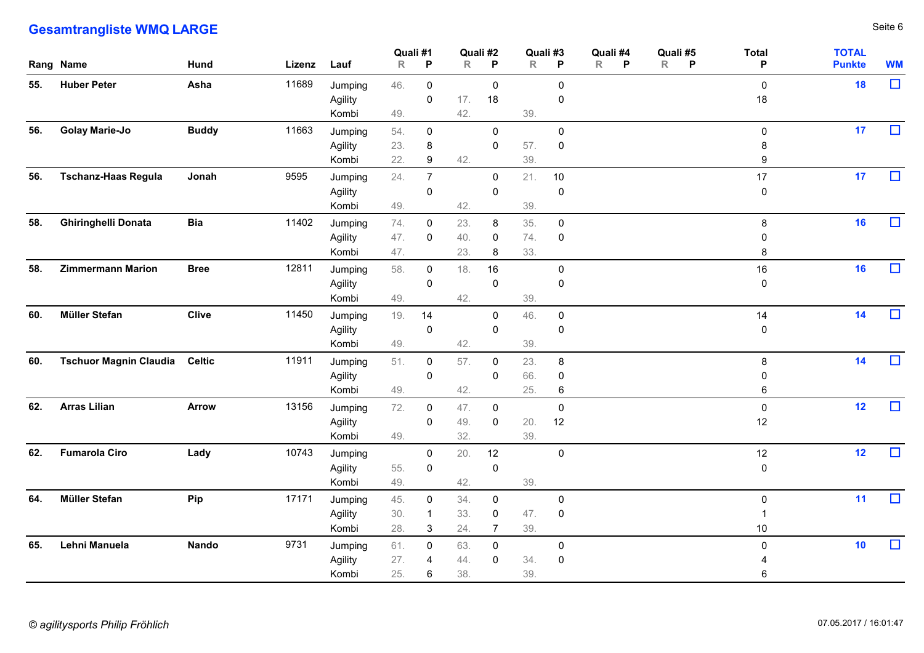|     | <b>Gesamtrangliste WMQ LARGE</b>  |              |             |                             |                         |                            |                   |                                 |                   |                                  |                                                     |                                |                               | Seite 6   |
|-----|-----------------------------------|--------------|-------------|-----------------------------|-------------------------|----------------------------|-------------------|---------------------------------|-------------------|----------------------------------|-----------------------------------------------------|--------------------------------|-------------------------------|-----------|
|     | Rang Name                         | <b>Hund</b>  | Lizenz Lauf |                             | Quali #1<br>$\mathsf R$ | P                          |                   | Quali #2<br>$R$ $P$             | R                 | Quali #3<br>P                    | Quali #4<br>Quali #5<br>R<br>P<br>R<br>$\mathsf{P}$ | <b>Total</b><br>P              | <b>TOTAL</b><br><b>Punkte</b> | <b>WM</b> |
| 55. | <b>Huber Peter</b>                | Asha         | 11689       | Jumping<br>Agility<br>Kombi | 46.<br>49.              | $\mathbf 0$<br>0           | 17.<br>42.        | $\mathbf 0$<br>18               | 39.               | $\mathbf 0$<br>0                 |                                                     | $\mathbf 0$<br>18              | 18                            | $\Box$    |
| 56. | <b>Golay Marie-Jo</b>             | <b>Buddy</b> | 11663       | Jumping<br>Agility<br>Kombi | 54.<br>23.<br>22.       | $\mathbf 0$<br>8<br>9      | 42.               | $\mathbf 0$<br>$\mathbf 0$      | 57.<br>39.        | $\mathbf 0$<br>$\mathbf 0$       |                                                     | $\mathsf{O}$<br>8<br>9         | 17                            | $\Box$    |
| 56. | <b>Tschanz-Haas Regula</b>        | Jonah        | 9595        | Jumping<br>Agility<br>Kombi | 24.<br>49.              | $\overline{7}$<br>0        | 42.               | $\mathbf 0$<br>$\mathbf 0$      | 21.<br>39.        | 10<br>$\mathbf 0$                |                                                     | 17<br>$\mathbf 0$              | 17                            | $\Box$    |
| 58. | <b>Ghiringhelli Donata</b>        | <b>Bia</b>   | 11402       | Jumping<br>Agility<br>Kombi | 74.<br>47.<br>47.       | 0<br>$\mathbf 0$           | 23.<br>40.<br>23. | 8<br>0<br>8                     | 35.<br>74.<br>33. | $\mathbf 0$<br>0                 |                                                     | 8<br>0<br>8                    | 16                            | $\Box$    |
| 58. | <b>Zimmermann Marion</b>          | <b>Bree</b>  | 12811       | Jumping<br>Agility<br>Kombi | 58.<br>49.              | 0<br>0                     | 18.<br>42.        | 16<br>$\mathbf 0$               | 39.               | 0<br>0                           |                                                     | 16<br>0                        | 16                            | $\Box$    |
|     | 60. Müller Stefan                 | <b>Clive</b> | 11450       | Jumping<br>Agility<br>Kombi | 19.<br>49.              | 14<br>$\mathbf 0$          | 42.               | $\overline{0}$<br>$\mathbf 0$   | 46.<br>39.        | $\overline{0}$<br>0              |                                                     | 14<br>0                        | 14                            | $\Box$    |
|     | 60. Tschuor Magnin Claudia Celtic |              | 11911       | Jumping<br>Agility<br>Kombi | 51.<br>49.              | $\mathbf 0$<br>$\mathbf 0$ | 57.<br>42.        | $\mathbf 0$<br>$\mathbf 0$      | 23.<br>66.<br>25. | 8<br>0<br>6                      |                                                     | 8<br>0<br>6                    | 14                            | $\Box$    |
|     | 62. Arras Lilian                  | <b>Arrow</b> | 13156       | Jumping<br>Agility<br>Kombi | 72.<br>49.              | $\mathbf 0$<br>0           | 47.<br>49.<br>32. | $\mathbf 0$<br>$\mathbf 0$      | 20.<br>39.        | $\mathbf 0$<br>12                |                                                     | $\mathbf 0$<br>12              | 12                            | $\Box$    |
|     | 62. Fumarola Ciro                 | Lady         | 10743       | Jumping<br>Agility<br>Kombi | 55.<br>49.              | $\mathbf 0$<br>$\mathbf 0$ | 20.<br>42.        | 12<br>$\mathbf 0$               | 39.               | $\mathbf 0$                      |                                                     | 12<br>0                        | 12                            | $\Box$    |
| 64. | Müller Stefan                     | <b>Pip</b>   | 17171       | Jumping<br>Agility<br>Kombi | 45.<br>30.<br>28.       | $\mathbf 0$<br>3           | 34.<br>33.<br>24. | $\mathbf 0$<br>$\mathbf 0$<br>7 | 47.<br>39.        | $\mathbf 0$<br>$\mathbf 0$       |                                                     | $\mathbf 0$<br>10 <sup>°</sup> | 11                            | $\Box$    |
| 65. | Lehni Manuela                     | Nando        | 9731        | Jumping<br>Agility<br>Kombi | 61.<br>27.<br>25.       | $\mathbf 0$<br>4<br>6      | 63.<br>44.<br>38. | $\mathbf 0$<br>$\mathbf 0$      | 34.<br>39.        | $\overline{0}$<br>$\overline{0}$ |                                                     | 0<br>6                         | 10                            | $\Box$    |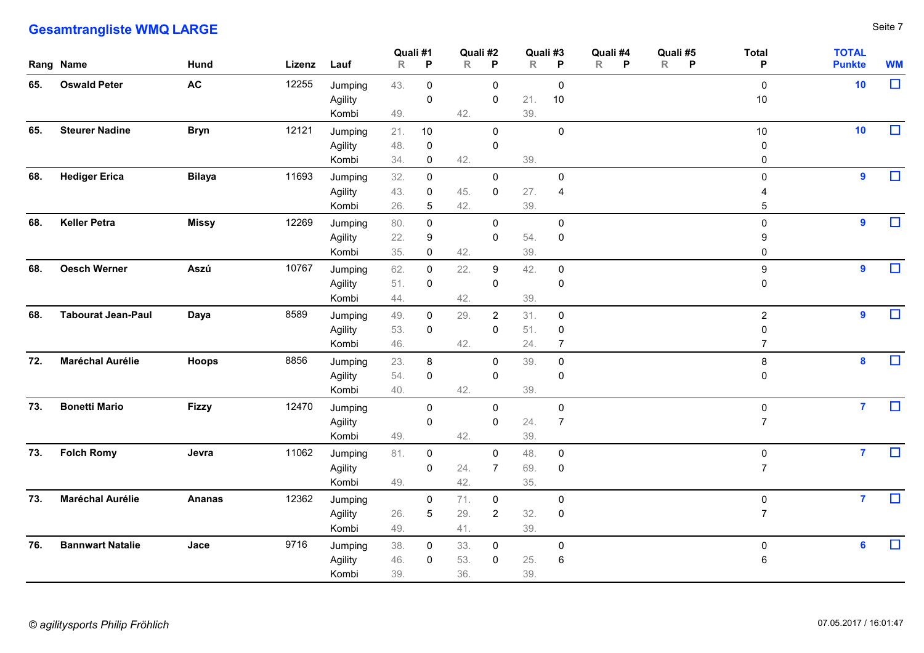|     | <b>Gesamtrangliste WMQ LARGE</b> |               |             |                             |                         |                                     |                   |                                 |                   |                                                 |                    |                               |                                     |                               | Seite 7   |
|-----|----------------------------------|---------------|-------------|-----------------------------|-------------------------|-------------------------------------|-------------------|---------------------------------|-------------------|-------------------------------------------------|--------------------|-------------------------------|-------------------------------------|-------------------------------|-----------|
|     | Rang Name                        | <b>Hund</b>   | Lizenz Lauf |                             | Quali #1<br>$\mathsf R$ | P                                   |                   | Quali #2<br>$R$ $P$             | Quali #3<br>R     | P                                               | Quali #4<br>R<br>P | Quali #5<br>R<br>$\mathsf{P}$ | <b>Total</b><br>P                   | <b>TOTAL</b><br><b>Punkte</b> | <b>WM</b> |
| 65. | <b>Oswald Peter</b>              | <b>AC</b>     | 12255       | Jumping<br>Agility<br>Kombi | 43.<br>49.              | $\mathbf 0$<br>$\mathbf 0$          | 42.               | $\mathbf 0$<br>$\mathbf 0$      | 21.<br>39.        | $\mathbf 0$<br>10                               |                    |                               | $\mathbf 0$<br>10 <sub>1</sub>      | 10                            | $\Box$    |
| 65. | <b>Steurer Nadine</b>            | <b>Bryn</b>   | 12121       | Jumping<br>Agility<br>Kombi | 21.<br>48.<br>34.       | 10<br>$\mathbf 0$<br>$\mathbf 0$    | 42.               | $\mathbf 0$<br>$\mathbf 0$      | 39.               | $\mathbf 0$                                     |                    |                               | 10 <sub>1</sub><br>0<br>0           | 10                            | $\Box$    |
| 68. | <b>Hediger Erica</b>             | <b>Bilaya</b> | 11693       | Jumping<br>Agility<br>Kombi | 32.<br>43.<br>26.       | $\mathbf 0$<br>0<br>$5\phantom{.0}$ | 45.<br>42.        | $\mathbf 0$<br>$\boldsymbol{0}$ | 27.<br>39.        | $\mathbf 0$<br>$\overline{4}$                   |                    |                               | $\mathbf 0$<br>4<br>$5\phantom{.0}$ | 9                             | $\Box$    |
| 68. | <b>Keller Petra</b>              | Missy         | 12269       | Jumping<br>Agility<br>Kombi | 80.<br>22.<br>35.       | $\mathbf 0$<br>9<br>$\mathbf 0$     | 42.               | $\mathbf 0$<br>$\mathbf 0$      | 54.<br>39.        | $\mathbf 0$<br>0                                |                    |                               | $\mathbf 0$<br>9<br>$\Omega$        | $\overline{\mathbf{9}}$       | $\Box$    |
|     | 68. Oesch Werner                 | Aszú          | 10767       | Jumping<br>Agility<br>Kombi | 62.<br>51.<br>44.       | 0<br>$\mathbf 0$                    | 22.<br>42.        | 9<br>$\mathbf 0$                | 42.<br>39.        | $\mathbf 0$<br>0                                |                    |                               | 9<br>0                              | 9                             | $\Box$    |
|     | 68. Tabourat Jean-Paul           | Daya          | 8589        | Jumping<br>Agility<br>Kombi | 49.<br>53.<br>46.       | $\mathbf 0$<br>$\mathbf 0$          | 29.<br>42.        | $\overline{2}$<br>$\mathbf 0$   | 31.<br>51.<br>24. | $\overline{0}$<br>$\mathbf 0$<br>$\overline{7}$ |                    |                               | $\overline{2}$<br>7                 | 9                             | $\Box$    |
|     | 72. Maréchal Aurélie             | <b>Hoops</b>  | 8856        | Jumping<br>Agility<br>Kombi | 23.<br>54.<br>40.       | 8<br>$\mathbf 0$                    | 42.               | $\mathbf 0$<br>$\mathbf 0$      | 39.<br>39.        | $\overline{0}$<br>0                             |                    |                               | 8<br>0                              | $\boldsymbol{8}$              | $\Box$    |
|     | 73. Bonetti Mario                | <b>Fizzy</b>  | 12470       | Jumping<br>Agility<br>Kombi | 49.                     | $\mathbf 0$<br>0                    | 42.               | $\mathbf 0$<br>$\mathbf 0$      | 24.<br>39.        | $\mathbf 0$<br>-7                               |                    |                               | $\mathbf 0$<br>$\overline{7}$       | $\mathbf{7}$                  | $\Box$    |
|     | 73. Folch Romy                   | Jevra         | 11062       | Jumping<br>Agility<br>Kombi | 81.<br>49.              | $\mathbf 0$<br>0                    | 24.<br>42.        | $\mathbf 0$<br>$\overline{7}$   | 48.<br>69.<br>35. | $\overline{0}$<br>$\mathbf 0$                   |                    |                               | $\mathbf 0$<br>$\overline{7}$       | $\mathbf{7}$                  | $\Box$    |
| 73. | <b>Maréchal Aurélie</b>          | <b>Ananas</b> | 12362       | Jumping<br>Agility<br>Kombi | 26.<br>49.              | $\mathbf 0$<br>$5\phantom{.0}$      | 71.<br>29.<br>41. | $\mathbf 0$<br>$\overline{2}$   | 32.<br>39.        | $\overline{0}$<br>$\overline{0}$                |                    |                               | $\mathbf 0$<br>7                    | $\mathbf{7}$                  | $\Box$    |
| 76. | <b>Bannwart Natalie</b>          | Jace          | 9716        | Jumping<br>Agility<br>Kombi | 38.<br>46.<br>39.       | $\mathbf 0$<br>$\mathbf 0$          | 33.<br>53.<br>36. | $\mathbf 0$<br>$\mathbf 0$      | 25.<br>39.        | $\mathbf 0$<br>6                                |                    |                               | $\mathsf{O}$<br>6                   | $6\overline{6}$               | $\Box$    |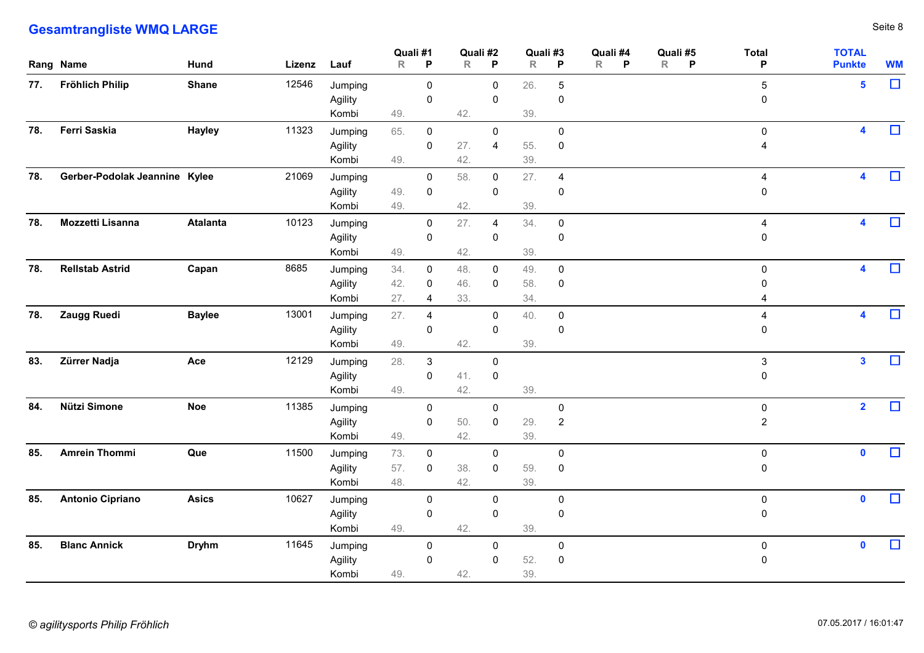|           | <b>Gesamtrangliste WMQ LARGE</b> |                 |             |                             |                   |                                  |                          |                                  |                   |                               |                                           |                               |                               | Seite 8   |
|-----------|----------------------------------|-----------------|-------------|-----------------------------|-------------------|----------------------------------|--------------------------|----------------------------------|-------------------|-------------------------------|-------------------------------------------|-------------------------------|-------------------------------|-----------|
| Rang Name |                                  | <b>Hund</b>     | Lizenz Lauf |                             | Quali #1<br>R     | $\mathsf{P}$                     | Quali #2<br>$\mathsf{R}$ | P                                | Quali #3<br>R     | P                             | Quali #4<br>Quali #5<br>R<br>$R$ $P$<br>P | <b>Total</b><br>P             | <b>TOTAL</b><br><b>Punkte</b> | <b>WM</b> |
|           | 77. Fröhlich Philip              | <b>Shane</b>    | 12546       | Jumping<br>Agility<br>Kombi | 49.               | $\overline{0}$<br>$\pmb{0}$      | 42.                      | $\mathbf 0$<br>$\mathbf 0$       | 26.<br>39.        | 5<br>$\mathbf 0$              |                                           | $\overline{5}$<br>$\mathbf 0$ | $\overline{\mathbf{5}}$       | $\Box$    |
| 78.       | Ferri Saskia                     | Hayley          | 11323       | Jumping<br>Agility<br>Kombi | 65.<br>49.        | $\mathbf 0$<br>$\mathbf 0$       | 27.<br>42.               | $\mathbf 0$<br>$\overline{4}$    | 55.<br>39.        | $\mathbf 0$<br>$\overline{0}$ |                                           | $\boldsymbol{0}$<br>4         | $\overline{\mathbf{A}}$       | $\Box$    |
| 78.       | Gerber-Podolak Jeannine Kylee    |                 | 21069       | Jumping<br>Agility<br>Kombi | 49.<br>49.        | $\mathbf 0$<br>$\overline{0}$    | 58.<br>42.               | $\overline{0}$<br>$\mathbf 0$    | 27.<br>39.        | $\overline{4}$<br>$\mathbf 0$ |                                           | 4<br>$\mathbf 0$              | $\blacktriangle$              | $\Box$    |
| 78.       | Mozzetti Lisanna                 | <b>Atalanta</b> | 10123       | Jumping<br>Agility<br>Kombi | 49.               | $\overline{0}$<br>$\mathbf 0$    | 27.<br>42.               | $\overline{4}$<br>$\overline{0}$ | 34.<br>39.        | $\mathbf 0$<br>$\pmb{0}$      |                                           | 4<br>$\mathbf 0$              | $\blacktriangle$              | $\Box$    |
| 78.       | <b>Rellstab Astrid</b>           | Capan           | 8685        | Jumping<br>Agility<br>Kombi | 34.<br>42.<br>27. | 0<br>0<br>-4                     | 48.<br>46.<br>33.        | 0<br>$\mathbf 0$                 | 49.<br>58.<br>34. | $\mathbf 0$<br>$\overline{0}$ |                                           | 0<br>$\mathbf 0$<br>4         | 4                             | $\Box$    |
|           | 78. Zaugg Ruedi                  | <b>Baylee</b>   | 13001       | Jumping<br>Agility<br>Kombi | 27.<br>49.        | $\overline{a}$<br>$\mathbf 0$    | 42.                      | $\mathbf 0$<br>$\mathbf 0$       | 40.<br>39.        | $\overline{0}$<br>$\mathbf 0$ |                                           | $\mathbf 0$                   | $\blacktriangle$              | $\Box$    |
|           | 83. Zürrer Nadja                 | Ace             | 12129       | Jumping<br>Agility<br>Kombi | 28.<br>49.        | $\mathbf{3}$<br>$\mathbf 0$      | 41.<br>42.               | $\mathbf 0$<br>$\overline{0}$    | 39.               |                               |                                           | $\mathbf{3}$<br>$\mathbf 0$   | $\mathbf{3}$                  | $\Box$    |
| 84.       | Nützi Simone                     | <b>Noe</b>      | 11385       | Jumping<br>Agility<br>Kombi | 49.               | $\overline{0}$<br>$\mathbf 0$    | 50.<br>42.               | $\mathbf 0$<br>$\mathbf 0$       | 29.<br>39.        | $\mathbf 0$<br>$\overline{2}$ |                                           | $\mathbf 0$<br>$\overline{2}$ | $\overline{\mathbf{2}}$       | $\Box$    |
| 85.       | <b>Amrein Thommi</b>             | Que             | 11500       | Jumping<br>Agility<br>Kombi | 73.<br>57.<br>48. | $\overline{0}$<br>$\overline{0}$ | 38.<br>42.               | $\mathbf 0$<br>$\overline{0}$    | 59.<br>39.        | $\mathbf 0$<br>$\overline{0}$ |                                           | $\mathbf 0$<br>$\mathbf 0$    | $\mathbf 0$                   | $\Box$    |
| 85.       | <b>Antonio Cipriano</b>          | <b>Asics</b>    | 10627       | Jumping<br>Agility<br>Kombi | 49.               | $\mathbf 0$<br>$\overline{0}$    | 42.                      | $\mathbf 0$<br>$\mathbf 0$       | 39.               | $\mathbf 0$<br>$\mathbf 0$    |                                           | $\mathbf 0$<br>$\mathbf 0$    | $\mathbf 0$                   | $\Box$    |
| 85.       | <b>Blanc Annick</b>              | <b>Dryhm</b>    | 11645       | Jumping<br>Agility<br>Kombi | 49.               | $\overline{0}$<br>$\overline{0}$ | 42.                      | $\mathbf 0$<br>$\mathbf 0$       | 52.<br>39.        | $\mathbf 0$<br>$\overline{0}$ |                                           | $\mathbf 0$<br>$\mathbf 0$    | $\mathbf 0$                   | $\Box$    |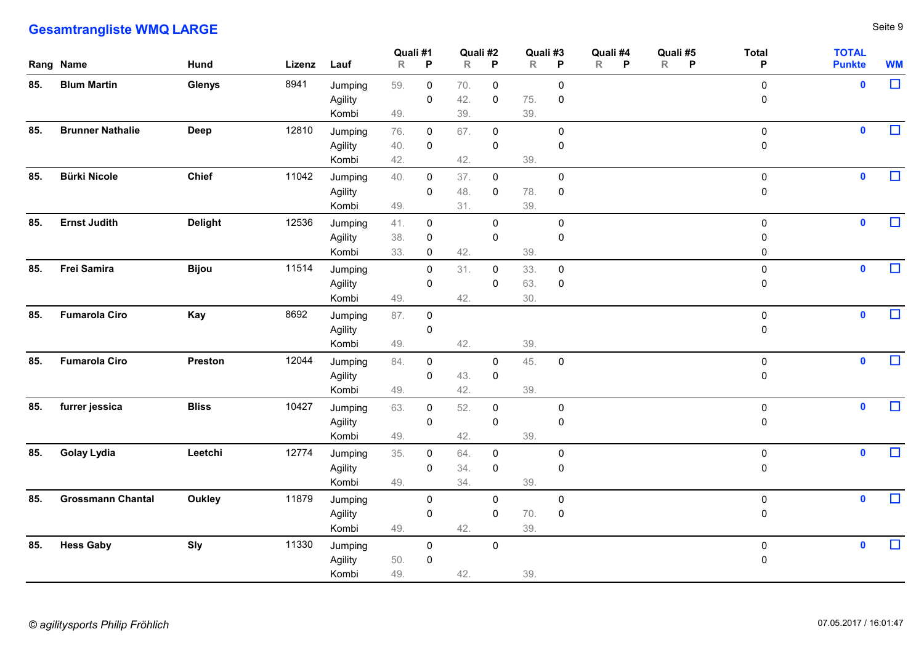|     | <b>Gesamtrangliste WMQ LARGE</b> |                |             |                             |                         |                                           |                   |                            |                   |                               |                                                     |                            |                               | Seite 9   |
|-----|----------------------------------|----------------|-------------|-----------------------------|-------------------------|-------------------------------------------|-------------------|----------------------------|-------------------|-------------------------------|-----------------------------------------------------|----------------------------|-------------------------------|-----------|
|     | Rang Name                        | <b>Hund</b>    | Lizenz Lauf |                             | Quali #1<br>$\mathsf R$ | P                                         | R                 | Quali #2<br>$\mathsf{P}$   | Quali #3<br>R     | P                             | Quali #4<br>Quali #5<br>R<br>P<br>R<br>$\mathsf{P}$ | <b>Total</b><br>P          | <b>TOTAL</b><br><b>Punkte</b> | <b>WM</b> |
| 85. | <b>Blum Martin</b>               | Glenys         | 8941        | Jumping<br>Agility<br>Kombi | 59.<br>49.              | $\mathbf 0$<br>$\mathbf 0$                | 70.<br>42.<br>39. | $\mathbf 0$<br>$\mathbf 0$ | 75.<br>39.        | $\mathbf 0$<br>$\mathbf 0$    |                                                     | $\mathbf 0$<br>0           | $\mathbf 0$                   | $\Box$    |
| 85. | <b>Brunner Nathalie</b>          | Deep           | 12810       | Jumping<br>Agility<br>Kombi | 76.<br>40.<br>42.       | $\mathbf 0$<br>$\mathbf 0$                | 67.<br>42.        | $\mathsf 0$<br>$\mathsf 0$ | 39.               | $\mathbf 0$<br>$\mathbf 0$    |                                                     | $\mathbf 0$<br>$\mathbf 0$ | $\mathbf 0$                   | $\Box$    |
| 85. | <b>Bürki Nicole</b>              | <b>Chief</b>   | 11042       | Jumping<br>Agility<br>Kombi | 40.<br>49.              | $\mathbf 0$<br>$\mathbf 0$                | 37.<br>48.<br>31. | $\mathbf 0$<br>$\mathbf 0$ | 78.<br>39.        | $\mathbf 0$<br>$\mathbf 0$    |                                                     | $\mathbf 0$<br>0           | $\mathbf 0$                   | $\Box$    |
| 85. | <b>Ernst Judith</b>              | <b>Delight</b> | 12536       | Jumping<br>Agility<br>Kombi | 41.<br>38.<br>33.       | $\mathbf 0$<br>$\mathbf 0$<br>$\mathbf 0$ | 42.               | $\mathbf 0$<br>$\mathbf 0$ | 39.               | $\mathbf 0$<br>0              |                                                     | 0<br>0<br>$\Omega$         | $\mathbf 0$                   | $\Box$    |
|     | 85. Frei Samira                  | <b>Bijou</b>   | 11514       | Jumping<br>Agility<br>Kombi | 49.                     | $\mathbf 0$<br>0                          | 31.<br>42.        | $\mathbf 0$<br>$\mathbf 0$ | 33.<br>63.<br>30. | $\mathbf 0$<br>$\overline{0}$ |                                                     | 0<br>0                     | $\mathbf 0$                   | $\Box$    |
|     | 85. Fumarola Ciro                | Kay            | 8692        | Jumping<br>Agility<br>Kombi | 87.<br>49.              | $\mathbf 0$<br>0                          | 42.               |                            | 39.               |                               |                                                     | $\mathbf 0$<br>0           | $\bullet$                     | $\Box$    |
|     | 85. Fumarola Ciro                | Preston        | 12044       | Jumping<br>Agility<br>Kombi | 84.<br>49.              | $\mathbf 0$<br>0                          | 43.<br>42.        | $\mathbf 0$<br>$\mathbf 0$ | 45.<br>39.        | $\overline{0}$                |                                                     | 0<br>0                     | $\mathbf 0$                   | $\Box$    |
| 85. | furrer jessica                   | <b>Bliss</b>   | 10427       | Jumping<br>Agility<br>Kombi | 63.<br>49.              | $\mathbf 0$<br>$\mathbf 0$                | 52.<br>42.        | $\mathbf 0$<br>$\mathbf 0$ | 39.               | $\mathbf 0$<br>0              |                                                     | $\mathbf 0$<br>0           | $\bullet$                     | $\Box$    |
|     | 85. Golay Lydia                  | Leetchi        | 12774       | Jumping<br>Agility<br>Kombi | 35.<br>49.              | $\mathbf 0$<br>0                          | 64.<br>34.<br>34. | $\mathbf 0$<br>$\mathbf 0$ | 39.               | $\mathbf 0$<br>0              |                                                     | $\mathbf 0$<br>0           | $\bullet$                     | $\Box$    |
| 85. | <b>Grossmann Chantal</b>         | Oukley         | 11879       | Jumping<br>Agility<br>Kombi | 49.                     | $\mathbf 0$<br>0                          | 42.               | $\mathbf 0$<br>$\mathbf 0$ | 70.<br>39.        | $\mathbf 0$<br>$\overline{0}$ |                                                     | $\mathbf 0$<br>0           | $\bullet$                     | $\Box$    |
|     | 85. Hess Gaby                    | Sly            | 11330       | Jumping<br>Agility<br>Kombi | 50.<br>49.              | $\mathbf 0$<br>$\overline{0}$             | 42.               | $\mathsf 0$                | 39.               |                               |                                                     | $\mathbf 0$<br>$\mathbf 0$ | $\bullet$                     | $\Box$    |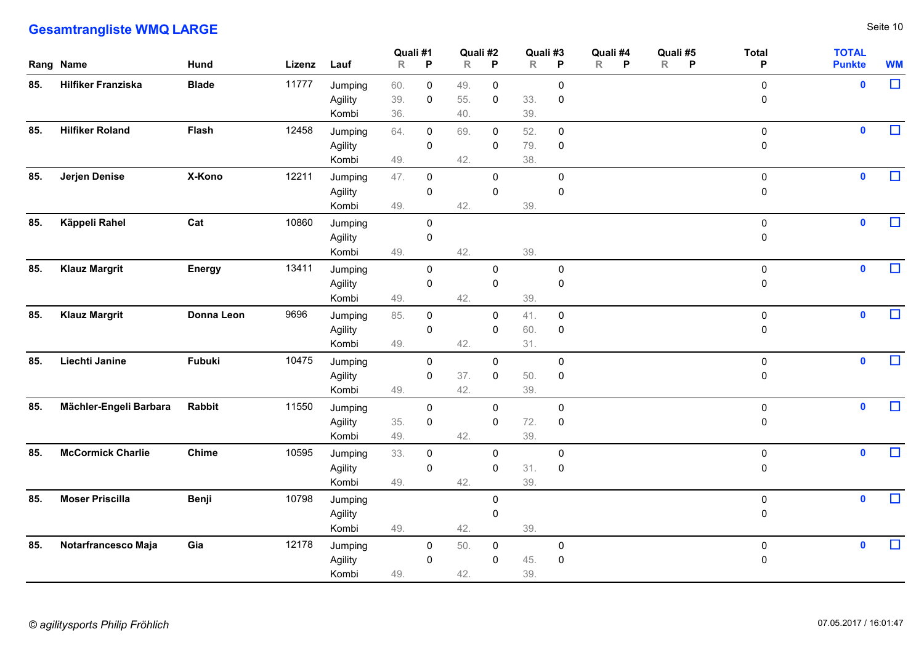|     | <b>Gesamtrangliste WMQ LARGE</b> |               |             |                    |                         |                            |               |                            |            |                |                    |                               |                   |                               | Seite 10  |
|-----|----------------------------------|---------------|-------------|--------------------|-------------------------|----------------------------|---------------|----------------------------|------------|----------------|--------------------|-------------------------------|-------------------|-------------------------------|-----------|
|     | Rang Name                        | <b>Hund</b>   | Lizenz Lauf |                    | Quali #1<br>$\mathsf R$ | P                          | Quali #2<br>R | $\mathsf{P}$               | R          | Quali #3<br>P  | Quali #4<br>R<br>P | Quali #5<br>R<br>$\mathsf{P}$ | <b>Total</b><br>P | <b>TOTAL</b><br><b>Punkte</b> | <b>WM</b> |
|     |                                  |               |             |                    |                         |                            |               |                            |            |                |                    |                               |                   |                               |           |
| 85. | <b>Hilfiker Franziska</b>        | <b>Blade</b>  | 11777       | Jumping            | 60.                     | $\mathbf 0$                | 49.           | $\mathbf 0$                |            | $\mathbf 0$    |                    |                               | $\mathbf 0$       | $\mathbf 0$                   | $\Box$    |
|     |                                  |               |             | Agility            | 39.                     | $\mathbf 0$                | 55.           | $\mathbf 0$                | 33.        | 0              |                    |                               | 0                 |                               |           |
|     |                                  |               |             | Kombi              | 36.                     |                            | 40.           |                            | 39.        |                |                    |                               |                   |                               |           |
| 85. | <b>Hilfiker Roland</b>           | <b>Flash</b>  | 12458       | Jumping            | 64.                     | $\mathbf 0$                | 69.           | $\mathbf 0$                | 52.        | $\mathbf 0$    |                    |                               | $\mathbf 0$       | $\mathbf 0$                   | $\Box$    |
|     |                                  |               |             | Agility<br>Kombi   | 49.                     | $\mathbf 0$                | 42.           | $\mathbf 0$                | 79.<br>38. | $\mathbf 0$    |                    |                               | $\mathbf 0$       |                               |           |
|     |                                  |               |             |                    |                         |                            |               |                            |            |                |                    |                               |                   |                               | $\Box$    |
| 85. | Jerjen Denise                    | X-Kono        | 12211       | Jumping            | 47.                     | $\mathbf 0$                |               | $\mathbf 0$                |            | $\mathbf 0$    |                    |                               | $\mathbf 0$       | $\mathbf 0$                   |           |
|     |                                  |               |             | Agility<br>Kombi   | 49.                     | $\mathbf 0$                | 42.           | $\mathbf 0$                | 39.        | $\mathbf 0$    |                    |                               | 0                 |                               |           |
|     |                                  | Cat           | 10860       |                    |                         |                            |               |                            |            |                |                    |                               |                   | $\mathbf 0$                   | $\Box$    |
| 85. | Käppeli Rahel                    |               |             | Jumping<br>Agility |                         | $\mathbf 0$<br>$\mathbf 0$ |               |                            |            |                |                    |                               | $\mathbf 0$<br>0  |                               |           |
|     |                                  |               |             | Kombi              | 49.                     |                            | 42.           |                            | 39.        |                |                    |                               |                   |                               |           |
| 85. | <b>Klauz Margrit</b>             | <b>Energy</b> | 13411       | Jumping            |                         | $\mathbf 0$                |               | $\mathbf 0$                |            | $\mathbf 0$    |                    |                               | $\mathbf 0$       | $\mathbf 0$                   | $\Box$    |
|     |                                  |               |             | Agility            |                         | $\mathbf 0$                |               | $\mathbf 0$                |            | 0              |                    |                               | 0                 |                               |           |
|     |                                  |               |             | Kombi              | 49.                     |                            | 42.           |                            | 39.        |                |                    |                               |                   |                               |           |
| 85. | <b>Klauz Margrit</b>             | Donna Leon    | 9696        | Jumping            | 85.                     | $\mathbf 0$                |               | $\overline{0}$             | 41.        | $\overline{0}$ |                    |                               | $\mathbf 0$       | $\bullet$                     | $\Box$    |
|     |                                  |               |             | Agility            |                         | 0                          |               | $\mathbf 0$                | 60.        | $\mathbf 0$    |                    |                               | 0                 |                               |           |
|     |                                  |               |             | Kombi              | 49.                     |                            | 42.           |                            | 31.        |                |                    |                               |                   |                               |           |
|     | 85. Liechti Janine               | Fubuki        | 10475       | Jumping            |                         | $\mathbf 0$                |               | $\mathbf 0$                |            | $\mathbf 0$    |                    |                               | $\mathbf 0$       | $\bullet$                     | $\Box$    |
|     |                                  |               |             | Agility            |                         | $\mathbf 0$                | 37.           | $\mathsf 0$                | 50.        | $\overline{0}$ |                    |                               | 0                 |                               |           |
|     |                                  |               |             | Kombi              | 49.                     |                            | 42.           |                            | 39.        |                |                    |                               |                   |                               |           |
| 85. | Mächler-Engeli Barbara           | Rabbit        | 11550       | Jumping            |                         | $\mathbf 0$                |               | $\mathbf 0$                |            | $\mathbf 0$    |                    |                               | $\mathbf 0$       | $\mathbf 0$                   | $\Box$    |
|     |                                  |               |             | Agility            | 35.                     | $\mathbf 0$                |               | $\mathbf 0$                | 72.        | $\overline{0}$ |                    |                               | 0                 |                               |           |
|     |                                  |               |             | Kombi              | 49.                     |                            | 42.           |                            | 39.        |                |                    |                               |                   |                               |           |
| 85. | <b>McCormick Charlie</b>         | Chime         | 10595       | Jumping            | 33.                     | $\mathbf 0$                |               | $\mathbf 0$                |            | $\mathbf 0$    |                    |                               | $\mathsf{O}$      | $\mathbf 0$                   | $\Box$    |
|     |                                  |               |             | Agility            |                         | 0                          |               | $\mathbf 0$                | 31.        | $\overline{0}$ |                    |                               | 0                 |                               |           |
|     |                                  |               |             | Kombi              | 49.                     |                            | 42.           |                            | 39.        |                |                    |                               |                   |                               |           |
| 85. | <b>Moser Priscilla</b>           | Benji         | 10798       | Jumping            |                         |                            |               | $\mathbf 0$                |            |                |                    |                               | $\mathbf 0$       | $\bullet$                     | $\Box$    |
|     |                                  |               |             | Agility<br>Kombi   | 49.                     |                            | 42.           | $\mathbf 0$                | 39.        |                |                    |                               | 0                 |                               |           |
| 85. |                                  |               |             |                    |                         |                            |               |                            |            |                |                    |                               |                   |                               | $\Box$    |
|     | Notarfrancesco Maja              | Gia           | 12178       | Jumping            |                         | $\overline{0}$             | 50.           | $\mathbf 0$<br>$\mathbf 0$ |            | $\overline{0}$ |                    |                               | $\mathbf 0$       | $\bullet$                     |           |
|     |                                  |               |             | Agility<br>Kombi   | 49.                     | $\mathbf 0$                | 42.           |                            | 45.<br>39. | $\overline{0}$ |                    |                               | 0                 |                               |           |
|     |                                  |               |             |                    |                         |                            |               |                            |            |                |                    |                               |                   |                               |           |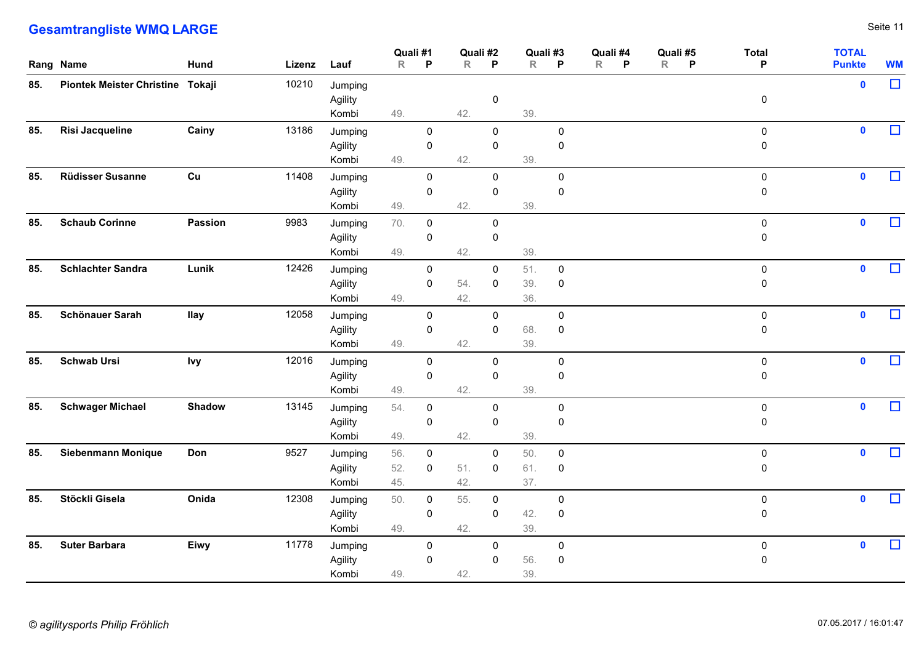|     | <b>Gesamtrangliste WMQ LARGE</b> |                |             |                             |                   |                                  |                          |                                  |                   |                                  |                               |                     |                               |                               | Seite 11  |
|-----|----------------------------------|----------------|-------------|-----------------------------|-------------------|----------------------------------|--------------------------|----------------------------------|-------------------|----------------------------------|-------------------------------|---------------------|-------------------------------|-------------------------------|-----------|
|     | Rang Name                        | <b>Hund</b>    | Lizenz Lauf |                             | Quali #1<br>R     | $\mathsf{P}$                     | Quali #2<br>$\mathsf{R}$ | $\mathsf{P}$                     | Quali #3<br>R     | P                                | Quali #4<br>$\mathsf{R}$<br>P | Quali #5<br>$R$ $P$ | <b>Total</b><br>P             | <b>TOTAL</b><br><b>Punkte</b> | <b>WM</b> |
| 85. | Piontek Meister Christine Tokaji |                | 10210       | Jumping<br>Agility<br>Kombi | 49.               |                                  | 42.                      | $\overline{0}$                   | 39.               |                                  |                               |                     | $\mathbf 0$                   | $\mathbf 0$                   | $\Box$    |
| 85. | Risi Jacqueline                  | Cainy          | 13186       | Jumping<br>Agility<br>Kombi | 49.               | $\overline{0}$<br>$\mathbf 0$    | 42.                      | $\overline{0}$<br>$\mathbf 0$    | 39.               | $\mathbf 0$<br>$\mathbf 0$       |                               |                     | $\mathbf 0$<br>$\mathbf 0$    | $\mathbf{0}$                  | $\Box$    |
| 85. | <b>Rüdisser Susanne</b>          | Cu             | 11408       | Jumping<br>Agility<br>Kombi | 49.               | $\overline{0}$<br>$\mathbf 0$    | 42.                      | $\mathbf 0$<br>$\mathbf 0$       | 39.               | $\mathbf 0$<br>$\pmb{0}$         |                               |                     | $\mathbf 0$<br>$\overline{0}$ | $\mathbf 0$                   | $\Box$    |
| 85. | <b>Schaub Corinne</b>            | <b>Passion</b> | 9983        | Jumping<br>Agility<br>Kombi | 70.<br>49.        | $\overline{0}$<br>$\mathbf 0$    | 42.                      | $\mathbf 0$<br>$\mathbf 0$       | 39.               |                                  |                               |                     | $\mathbf 0$<br>$\mathbf 0$    | $\mathbf 0$                   | $\Box$    |
| 85. | <b>Schlachter Sandra</b>         | Lunik          | 12426       | Jumping<br>Agility<br>Kombi | 49.               | $\mathbf 0$<br>$\overline{0}$    | 54.<br>42.               | 0<br>$\mathbf 0$                 | 51.<br>39.<br>36. | $\overline{0}$<br>$\overline{0}$ |                               |                     | $\mathbf 0$<br>$\mathbf 0$    | $\mathbf 0$                   | $\Box$    |
| 85. | Schönauer Sarah                  | <b>Ilay</b>    | 12058       | Jumping<br>Agility<br>Kombi | 49.               | $\mathbf 0$<br>$\overline{0}$    | 42.                      | $\mathbf 0$<br>$\mathbf 0$       | 68.<br>39.        | $\mathbf 0$<br>$\overline{0}$    |                               |                     | $\mathbf 0$<br>$\overline{0}$ | $\mathbf 0$                   | $\Box$    |
| 85. | <b>Schwab Ursi</b>               | <b>Ivy</b>     | 12016       | Jumping<br>Agility<br>Kombi | 49.               | $\overline{0}$<br>$\mathbf 0$    | 42.                      | $\mathbf 0$<br>$\mathbf 0$       | 39.               | $\mathbf 0$<br>$\mathbf 0$       |                               |                     | $\mathbf 0$<br>$\mathbf 0$    | $\mathbf 0$                   | $\Box$    |
| 85. | <b>Schwager Michael</b>          | <b>Shadow</b>  | 13145       | Jumping<br>Agility<br>Kombi | 54.<br>49.        | $\overline{0}$<br>$\overline{0}$ | 42.                      | $\mathbf 0$<br>$\mathbf 0$       | 39.               | $\mathbf 0$<br>$\mathbf 0$       |                               |                     | $\mathbf 0$<br>$\overline{0}$ | $\mathbf 0$                   | $\Box$    |
| 85. | Siebenmann Monique               | Don            | 9527        | Jumping<br>Agility<br>Kombi | 56.<br>52.<br>45. | $\overline{0}$<br>$\overline{0}$ | 51.<br>42.               | $\overline{0}$<br>$\overline{0}$ | 50.<br>61.<br>37. | $\mathbf 0$<br>$\overline{0}$    |                               |                     | $\mathbf 0$<br>$\mathbf 0$    | $\mathbf 0$                   | $\Box$    |
| 85. | Stöckli Gisela                   | Onida          | 12308       | Jumping<br>Agility<br>Kombi | 50.<br>49.        | $\mathbf 0$<br>$\overline{0}$    | 55.<br>42.               | $\overline{0}$<br>$\mathbf 0$    | 42.<br>39.        | $\mathbf 0$<br>$\overline{0}$    |                               |                     | $\mathbf 0$<br>$\overline{0}$ | $\mathbf 0$                   | $\Box$    |
| 85. | <b>Suter Barbara</b>             | Eiwy           | 11778       | Jumping<br>Agility<br>Kombi | 49.               | $\overline{0}$<br>$\overline{0}$ | 42.                      | $\mathbf 0$<br>$\mathbf 0$       | 56.<br>39.        | $\mathbf 0$<br>$\overline{0}$    |                               |                     | $\mathbf 0$<br>$\mathbf 0$    | $\mathbf 0$                   | $\Box$    |